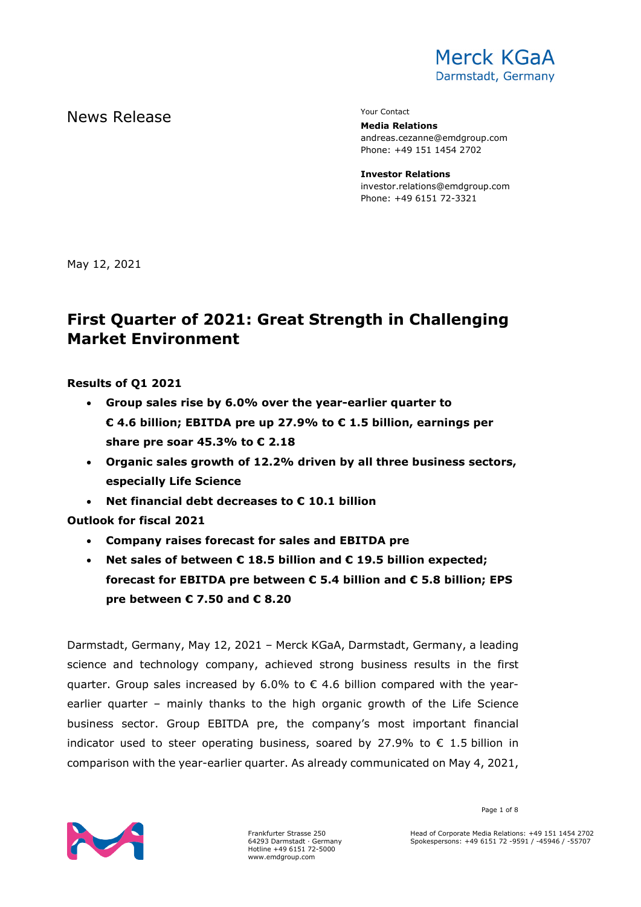

# News Release The Contact Terms of the Mean of the Mean of the Vour Contact

**Media Relations** andreas.cezanne@emdgroup.com Phone: +49 151 1454 2702

**Investor Relations** investor.relations@emdgroup.com Phone: +49 6151 72-3321

May 12, 2021

# **First Quarter of 2021: Great Strength in Challenging Market Environment**

**Results of Q1 2021**

- **Group sales rise by 6.0% over the year-earlier quarter to € 4.6 billion; EBITDA pre up 27.9% to € 1.5 billion, earnings per share pre soar 45.3% to € 2.18**
- **Organic sales growth of 12.2% driven by all three business sectors, especially Life Science**
- **Net financial debt decreases to € 10.1 billion**

**Outlook for fiscal 2021**

- **Company raises forecast for sales and EBITDA pre**
- **Net sales of between € 18.5 billion and € 19.5 billion expected; forecast for EBITDA pre between € 5.4 billion and € 5.8 billion; EPS pre between € 7.50 and € 8.20**

Darmstadt, Germany, May 12, 2021 – Merck KGaA, Darmstadt, Germany, a leading science and technology company, achieved strong business results in the first quarter. Group sales increased by  $6.0\%$  to  $\epsilon$  4.6 billion compared with the yearearlier quarter – mainly thanks to the high organic growth of the Life Science business sector. Group EBITDA pre, the company's most important financial indicator used to steer operating business, soared by 27.9% to  $\epsilon$  1.5 billion in comparison with the year-earlier quarter. As already communicated on May 4, 2021,



Page 1 of 8

Head of Corporate Media Relations: +49 151 1454 2702 Spokespersons: +49 6151 72 -9591 / -45946 / -55707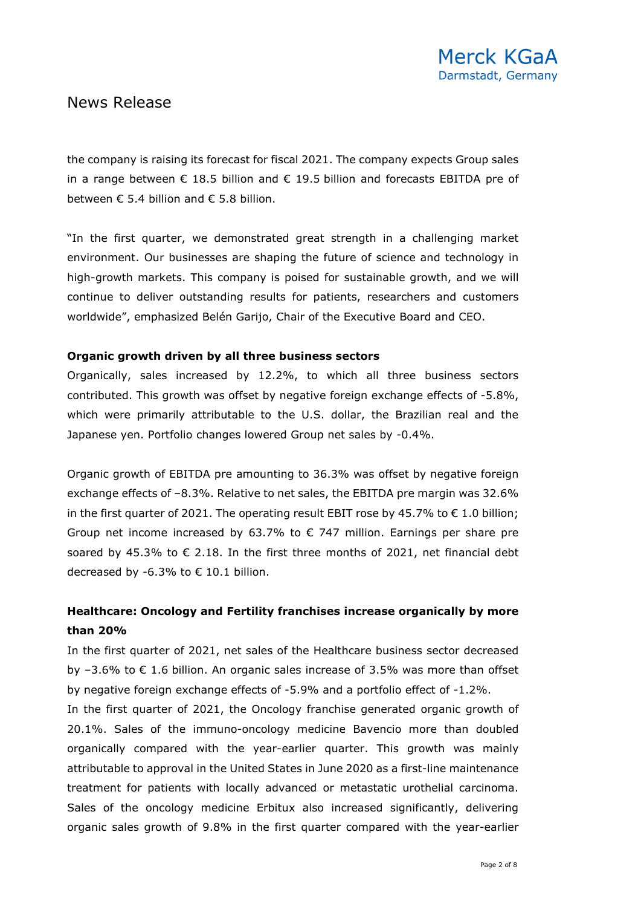the company is raising its forecast for fiscal 2021. The company expects Group sales in a range between  $\epsilon$  18.5 billion and  $\epsilon$  19.5 billion and forecasts EBITDA pre of between  $\epsilon$  5.4 billion and  $\epsilon$  5.8 billion.

"In the first quarter, we demonstrated great strength in a challenging market environment. Our businesses are shaping the future of science and technology in high-growth markets. This company is poised for sustainable growth, and we will continue to deliver outstanding results for patients, researchers and customers worldwide", emphasized Belén Garijo, Chair of the Executive Board and CEO.

### **Organic growth driven by all three business sectors**

Organically, sales increased by 12.2%, to which all three business sectors contributed. This growth was offset by negative foreign exchange effects of -5.8%, which were primarily attributable to the U.S. dollar, the Brazilian real and the Japanese yen. Portfolio changes lowered Group net sales by -0.4%.

Organic growth of EBITDA pre amounting to 36.3% was offset by negative foreign exchange effects of –8.3%. Relative to net sales, the EBITDA pre margin was 32.6% in the first quarter of 2021. The operating result EBIT rose by 45.7% to  $\epsilon$  1.0 billion; Group net income increased by 63.7% to  $\epsilon$  747 million. Earnings per share pre soared by 45.3% to  $\epsilon$  2.18. In the first three months of 2021, net financial debt decreased by -6.3% to  $\epsilon$  10.1 billion.

### **Healthcare: Oncology and Fertility franchises increase organically by more than 20%**

In the first quarter of 2021, net sales of the Healthcare business sector decreased by  $-3.6\%$  to  $\epsilon$  1.6 billion. An organic sales increase of 3.5% was more than offset by negative foreign exchange effects of -5.9% and a portfolio effect of -1.2%.

In the first quarter of 2021, the Oncology franchise generated organic growth of 20.1%. Sales of the immuno-oncology medicine Bavencio more than doubled organically compared with the year-earlier quarter. This growth was mainly attributable to approval in the United States in June 2020 as a first-line maintenance treatment for patients with locally advanced or metastatic urothelial carcinoma. Sales of the oncology medicine Erbitux also increased significantly, delivering organic sales growth of 9.8% in the first quarter compared with the year-earlier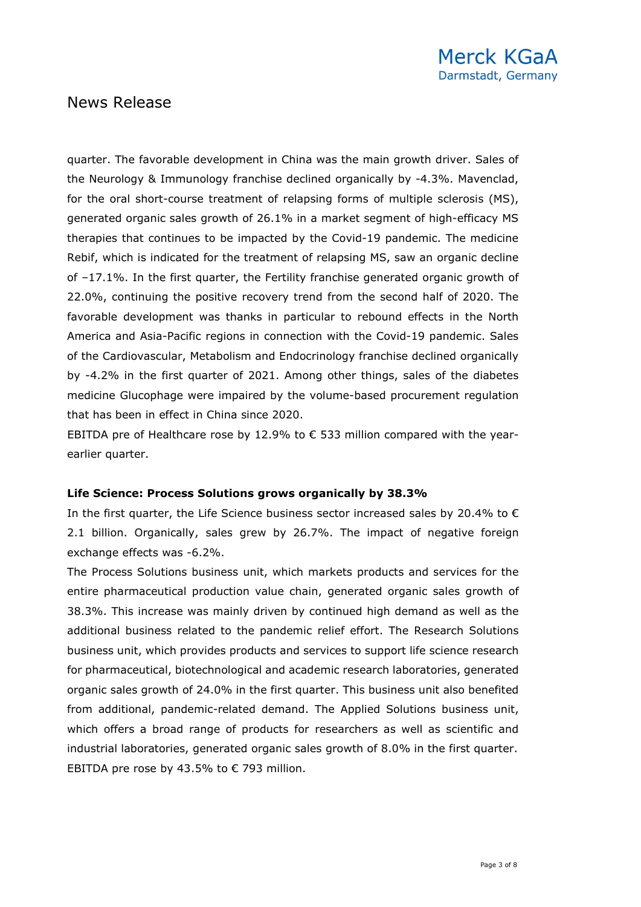quarter. The favorable development in China was the main growth driver. Sales of the Neurology & Immunology franchise declined organically by -4.3%. Mavenclad, for the oral short-course treatment of relapsing forms of multiple sclerosis (MS), generated organic sales growth of 26.1% in a market segment of high-efficacy MS therapies that continues to be impacted by the Covid-19 pandemic. The medicine Rebif, which is indicated for the treatment of relapsing MS, saw an organic decline of –17.1%. In the first quarter, the Fertility franchise generated organic growth of 22.0%, continuing the positive recovery trend from the second half of 2020. The favorable development was thanks in particular to rebound effects in the North America and Asia-Pacific regions in connection with the Covid-19 pandemic. Sales of the Cardiovascular, Metabolism and Endocrinology franchise declined organically by -4.2% in the first quarter of 2021. Among other things, sales of the diabetes medicine Glucophage were impaired by the volume-based procurement regulation that has been in effect in China since 2020.

EBITDA pre of Healthcare rose by 12.9% to  $\epsilon$  533 million compared with the yearearlier quarter.

### **Life Science: Process Solutions grows organically by 38.3%**

In the first quarter, the Life Science business sector increased sales by 20.4% to  $\epsilon$ 2.1 billion. Organically, sales grew by 26.7%. The impact of negative foreign exchange effects was -6.2%.

The Process Solutions business unit, which markets products and services for the entire pharmaceutical production value chain, generated organic sales growth of 38.3%. This increase was mainly driven by continued high demand as well as the additional business related to the pandemic relief effort. The Research Solutions business unit, which provides products and services to support life science research for pharmaceutical, biotechnological and academic research laboratories, generated organic sales growth of 24.0% in the first quarter. This business unit also benefited from additional, pandemic-related demand. The Applied Solutions business unit, which offers a broad range of products for researchers as well as scientific and industrial laboratories, generated organic sales growth of 8.0% in the first quarter. EBITDA pre rose by 43.5% to  $\epsilon$  793 million.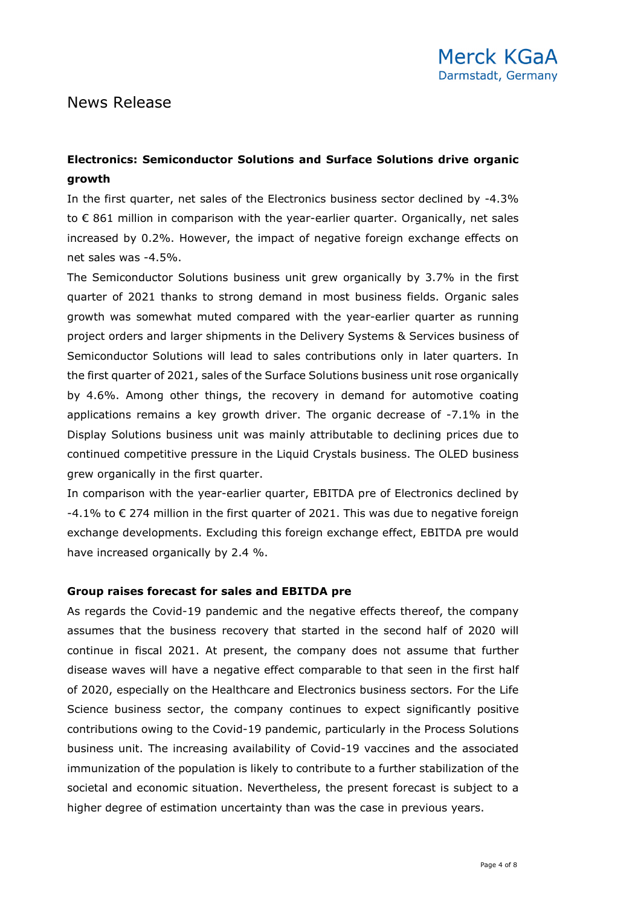## **Electronics: Semiconductor Solutions and Surface Solutions drive organic growth**

In the first quarter, net sales of the Electronics business sector declined by -4.3% to € 861 million in comparison with the year-earlier quarter. Organically, net sales increased by 0.2%. However, the impact of negative foreign exchange effects on net sales was -4.5%.

The Semiconductor Solutions business unit grew organically by 3.7% in the first quarter of 2021 thanks to strong demand in most business fields. Organic sales growth was somewhat muted compared with the year-earlier quarter as running project orders and larger shipments in the Delivery Systems & Services business of Semiconductor Solutions will lead to sales contributions only in later quarters. In the first quarter of 2021, sales of the Surface Solutions business unit rose organically by 4.6%. Among other things, the recovery in demand for automotive coating applications remains a key growth driver. The organic decrease of -7.1% in the Display Solutions business unit was mainly attributable to declining prices due to continued competitive pressure in the Liquid Crystals business. The OLED business grew organically in the first quarter.

In comparison with the year-earlier quarter, EBITDA pre of Electronics declined by  $-4.1\%$  to  $\epsilon$  274 million in the first quarter of 2021. This was due to negative foreign exchange developments. Excluding this foreign exchange effect, EBITDA pre would have increased organically by 2.4 %.

### **Group raises forecast for sales and EBITDA pre**

As regards the Covid-19 pandemic and the negative effects thereof, the company assumes that the business recovery that started in the second half of 2020 will continue in fiscal 2021. At present, the company does not assume that further disease waves will have a negative effect comparable to that seen in the first half of 2020, especially on the Healthcare and Electronics business sectors. For the Life Science business sector, the company continues to expect significantly positive contributions owing to the Covid-19 pandemic, particularly in the Process Solutions business unit. The increasing availability of Covid-19 vaccines and the associated immunization of the population is likely to contribute to a further stabilization of the societal and economic situation. Nevertheless, the present forecast is subject to a higher degree of estimation uncertainty than was the case in previous years.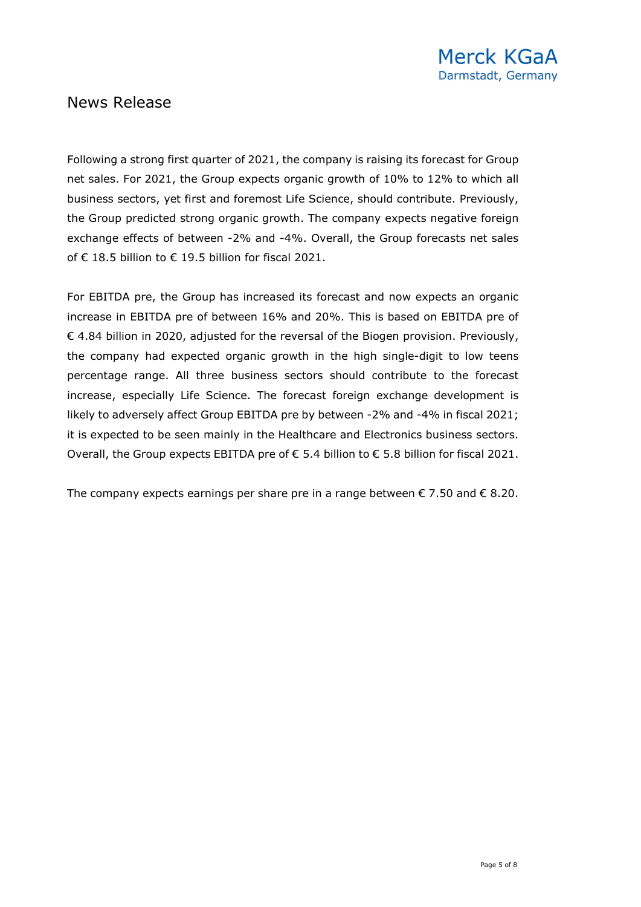Following a strong first quarter of 2021, the company is raising its forecast for Group net sales. For 2021, the Group expects organic growth of 10% to 12% to which all business sectors, yet first and foremost Life Science, should contribute. Previously, the Group predicted strong organic growth. The company expects negative foreign exchange effects of between -2% and -4%. Overall, the Group forecasts net sales of € 18.5 billion to € 19.5 billion for fiscal 2021.

For EBITDA pre, the Group has increased its forecast and now expects an organic increase in EBITDA pre of between 16% and 20%. This is based on EBITDA pre of € 4.84 billion in 2020, adjusted for the reversal of the Biogen provision. Previously, the company had expected organic growth in the high single-digit to low teens percentage range. All three business sectors should contribute to the forecast increase, especially Life Science. The forecast foreign exchange development is likely to adversely affect Group EBITDA pre by between -2% and -4% in fiscal 2021; it is expected to be seen mainly in the Healthcare and Electronics business sectors. Overall, the Group expects EBITDA pre of € 5.4 billion to € 5.8 billion for fiscal 2021.

The company expects earnings per share pre in a range between  $\epsilon$  7.50 and  $\epsilon$  8.20.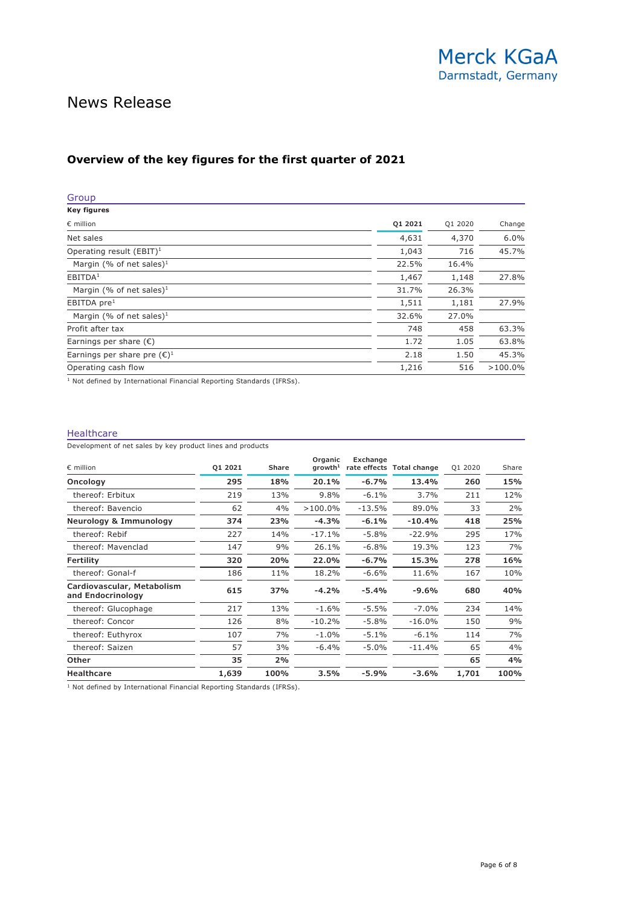### **Overview of the key figures for the first quarter of 2021**

| Group                                                                            |         |         |            |
|----------------------------------------------------------------------------------|---------|---------|------------|
| Key figures                                                                      |         |         |            |
| $\epsilon$ million                                                               | Q1 2021 | Q1 2020 | Change     |
| Net sales                                                                        | 4,631   | 4,370   | 6.0%       |
| Operating result (EBIT) <sup>1</sup>                                             | 1,043   | 716     | 45.7%      |
| Margin (% of net sales) <sup>1</sup>                                             | 22.5%   | 16.4%   |            |
| EBITDA <sup>1</sup>                                                              | 1,467   | 1,148   | 27.8%      |
| Margin (% of net sales) <sup>1</sup>                                             | 31.7%   | 26.3%   |            |
| EBITDA pre <sup>1</sup>                                                          | 1,511   | 1,181   | 27.9%      |
| Margin (% of net sales) <sup>1</sup>                                             | 32.6%   | 27.0%   |            |
| Profit after tax                                                                 | 748     | 458     | 63.3%      |
| Earnings per share $(\epsilon)$                                                  | 1.72    | 1.05    | 63.8%      |
| Earnings per share pre $(\epsilon)^1$                                            | 2.18    | 1.50    | 45.3%      |
| Operating cash flow                                                              | 1,216   | 516     | $>100.0\%$ |
| <sup>1</sup> Not defined by International Financial Reporting Standards (IFRSs). |         |         |            |

#### Healthcare

Development of net sales by key product lines and products

| $\epsilon$ million                              | 01 2021 | <b>Share</b> | Organic<br>$q$ rowth $1$ | Exchange | rate effects Total change | Q1 2020 | Share |
|-------------------------------------------------|---------|--------------|--------------------------|----------|---------------------------|---------|-------|
| Oncology                                        | 295     | 18%          | 20.1%                    | $-6.7%$  | 13.4%                     | 260     | 15%   |
| thereof: Erbitux                                | 219     | 13%          | 9.8%                     | $-6.1%$  | 3.7%                      | 211     | 12%   |
| thereof: Bavencio                               | 62      | 4%           | $>100.0\%$               | $-13.5%$ | 89.0%                     | 33      | 2%    |
| Neurology & Immunology                          | 374     | 23%          | $-4.3%$                  | $-6.1%$  | $-10.4%$                  | 418     | 25%   |
| thereof: Rebif                                  | 227     | 14%          | $-17.1%$                 | $-5.8%$  | $-22.9%$                  | 295     | 17%   |
| thereof: Mavenclad                              | 147     | 9%           | 26.1%                    | $-6.8%$  | 19.3%                     | 123     | 7%    |
| Fertility                                       | 320     | 20%          | 22.0%                    | $-6.7%$  | 15.3%                     | 278     | 16%   |
| thereof: Gonal-f                                | 186     | 11%          | 18.2%                    | $-6.6%$  | 11.6%                     | 167     | 10%   |
| Cardiovascular, Metabolism<br>and Endocrinology | 615     | 37%          | $-4.2%$                  | $-5.4%$  | $-9.6%$                   | 680     | 40%   |
| thereof: Glucophage                             | 217     | 13%          | $-1.6%$                  | $-5.5%$  | $-7.0%$                   | 234     | 14%   |
| thereof: Concor                                 | 126     | 8%           | $-10.2%$                 | $-5.8%$  | $-16.0%$                  | 150     | 9%    |
| thereof: Euthyrox                               | 107     | 7%           | $-1.0\%$                 | $-5.1%$  | $-6.1%$                   | 114     | 7%    |
| thereof: Saizen                                 | 57      | 3%           | $-6.4\%$                 | $-5.0\%$ | $-11.4%$                  | 65      | 4%    |
| <b>Other</b>                                    | 35      | 2%           |                          |          |                           | 65      | 4%    |
| <b>Healthcare</b>                               | 1,639   | 100%         | $3.5\%$                  | $-5.9%$  | -3.6%                     | 1,701   | 100%  |

<sup>1</sup> Not defined by International Financial Reporting Standards (IFRSs).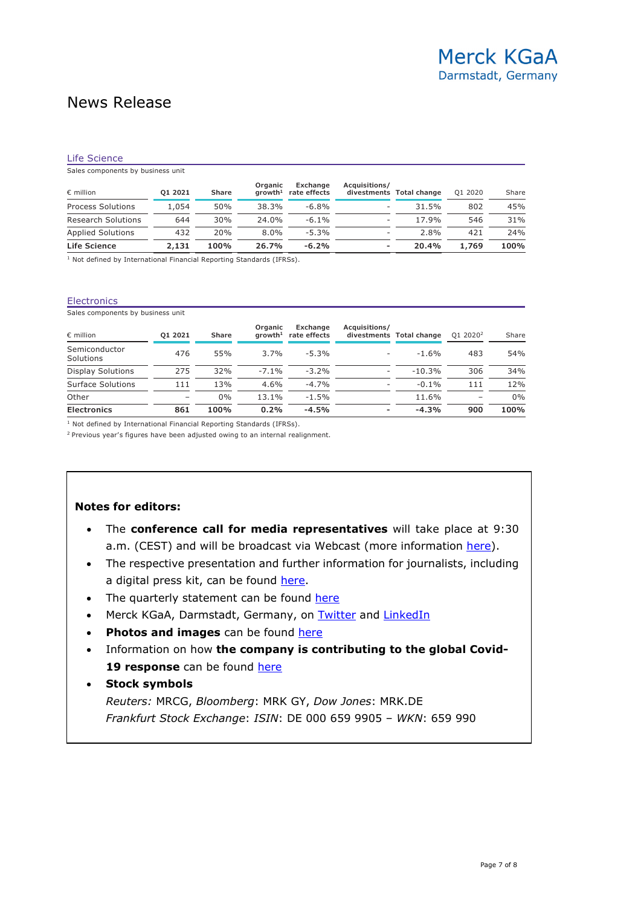#### Life Science

Sales components by business unit

| $\epsilon$ million        | 01 2021 | <b>Share</b> | Organic<br>arowth <sup>1</sup> | Exchange<br>rate effects | Acquisitions/ | divestments Total change | 01 2020 | Share |
|---------------------------|---------|--------------|--------------------------------|--------------------------|---------------|--------------------------|---------|-------|
| <b>Process Solutions</b>  | 1,054   | 50%          | 38.3%                          | $-6.8\%$                 | ٠.            | 31.5%                    | 802     | 45%   |
| <b>Research Solutions</b> | 644     | 30%          | 24.0%                          | $-6.1\%$                 | ۰.            | 17.9%                    | 546     | 31%   |
| <b>Applied Solutions</b>  | 432     | 20%          | $8.0\%$                        | $-5.3%$                  | ۰.            | 2.8%                     | 421     | 24%   |
| Life Science              | 2,131   | 100%         | 26.7%                          | $-6.2%$                  | ۰             | 20.4%                    | 1,769   | 100%  |

<sup>1</sup> Not defined by International Financial Reporting Standards (IFRSs).

#### **Electronics**

Sales components by business unit

| $\epsilon$ million         | 01 2021 | <b>Share</b> | Organic<br>arowth <sup>1</sup> | Exchange<br>rate effects | Acquisitions/ | divestments Total change | 01 2020 <sup>2</sup> | Share |
|----------------------------|---------|--------------|--------------------------------|--------------------------|---------------|--------------------------|----------------------|-------|
| Semiconductor<br>Solutions | 476     | 55%          | 3.7%                           | $-5.3%$                  | -             | $-1.6%$                  | 483                  | 54%   |
| Display Solutions          | 275     | 32%          | $-7.1\%$                       | $-3.2%$                  | ٠.            | $-10.3%$                 | 306                  | 34%   |
| Surface Solutions          | 111     | 13%          | 4.6%                           | $-4.7%$                  | Ξ.            | $-0.1\%$                 | 111                  | 12%   |
| Other                      | -       | $0\%$        | 13.1%                          | $-1.5%$                  |               | 11.6%                    |                      | $0\%$ |
| <b>Electronics</b>         | 861     | 100%         | 0.2%                           | $-4.5%$                  |               | $-4.3%$                  | 900                  | 100%  |

<sup>1</sup> Not defined by International Financial Reporting Standards (IFRSs).

<sup>2</sup> Previous year's figures have been adjusted owing to an internal realignment.

#### **Notes for editors:**

- The **conference call for media representatives** will take place at 9:30 a.m. (CEST) and will be broadcast via Webcast (more information [here\)](https://www.emdgroup.com/en/company/press/press-kits/q1-2021.html).
- The respective presentation and further information for journalists, including a digital press kit, can be found [here.](https://www.emdgroup.com/en/company/press/press-kits/q1-2021.html)
- The quarterly statement can be found [here](https://www.emdgroup.com/en/company/press/press-kits/q1-2021.html)
- Merck KGaA, Darmstadt, Germany, on [Twitter](http://twitter.com/emdgroup) and [LinkedIn](https://www.linkedin.com/company/emd-affiliates-of-merck-kgaa-darmstadt-germany)
- **Photos and images** can be found [here](https://www.emdgroup.com/en/company/press/media-library.html)
- Information on how **the company is contributing to the global Covid-19 response** can be found [here](https://www.emdgroup.com/en/company/press/press-kits/corona-pandemic.html)

#### • **Stock symbols**

*Reuters:* MRCG, *Bloomberg*: MRK GY, *Dow Jones*: MRK.DE *Frankfurt Stock Exchange*: *ISIN*: DE 000 659 9905 – *WKN*: 659 990